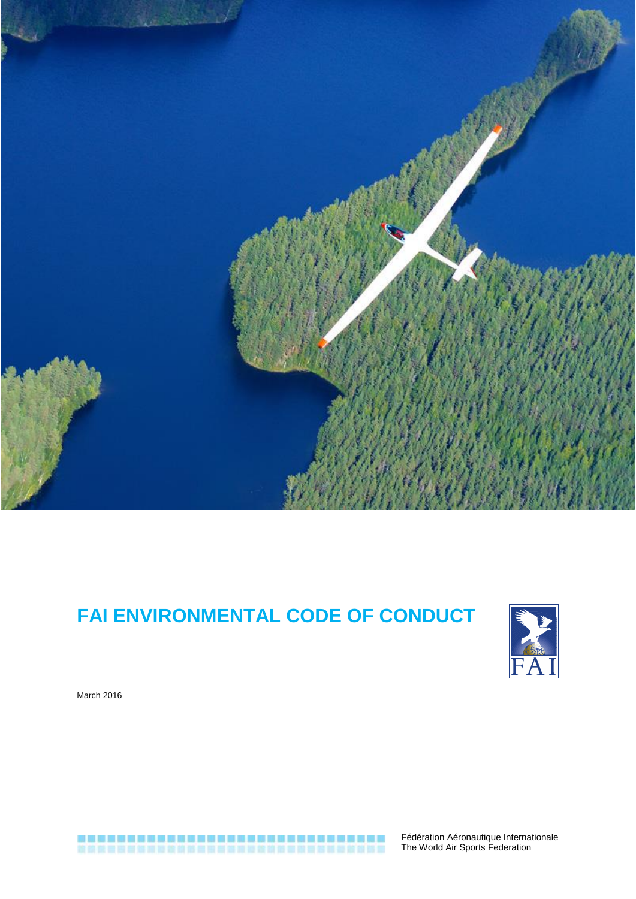

# **FAI ENVIRONMENTAL CODE OF CONDUCT**



March 2016

Fédération Aéronautique Internationale The World Air Sports Federation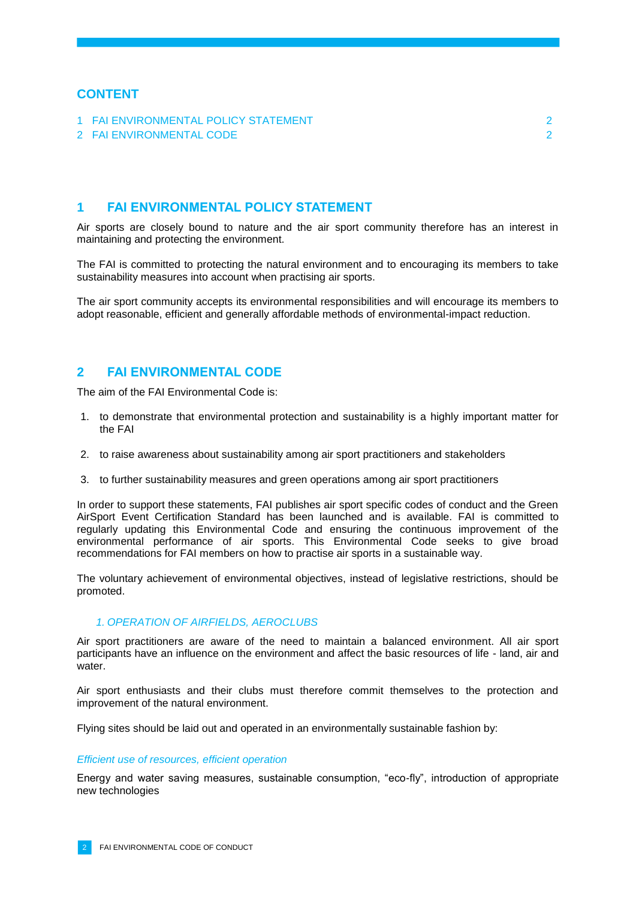# **CONTENT**

- 1 [FAI ENVIRONMENTAL POLICY STATEMENT](#page-1-0) 2
- 2 [FAI ENVIRONMENTAL CODE](#page-1-1) 2

# <span id="page-1-0"></span>**1 FAI ENVIRONMENTAL POLICY STATEMENT**

Air sports are closely bound to nature and the air sport community therefore has an interest in maintaining and protecting the environment.

The FAI is committed to protecting the natural environment and to encouraging its members to take sustainability measures into account when practising air sports.

The air sport community accepts its environmental responsibilities and will encourage its members to adopt reasonable, efficient and generally affordable methods of environmental-impact reduction.

## <span id="page-1-1"></span>**2 FAI ENVIRONMENTAL CODE**

The aim of the FAI Environmental Code is:

- 1. to demonstrate that environmental protection and sustainability is a highly important matter for the FAI
- 2. to raise awareness about sustainability among air sport practitioners and stakeholders
- 3. to further sustainability measures and green operations among air sport practitioners

In order to support these statements, FAI publishes air sport specific codes of conduct and the Green AirSport Event Certification Standard has been launched and is available. FAI is committed to regularly updating this Environmental Code and ensuring the continuous improvement of the environmental performance of air sports. This Environmental Code seeks to give broad recommendations for FAI members on how to practise air sports in a sustainable way.

The voluntary achievement of environmental objectives, instead of legislative restrictions, should be promoted.

## *1. OPERATION OF AIRFIELDS, AEROCLUBS*

Air sport practitioners are aware of the need to maintain a balanced environment. All air sport participants have an influence on the environment and affect the basic resources of life - land, air and water.

Air sport enthusiasts and their clubs must therefore commit themselves to the protection and improvement of the natural environment.

Flying sites should be laid out and operated in an environmentally sustainable fashion by:

#### *Efficient use of resources, efficient operation*

Energy and water saving measures, sustainable consumption, "eco-fly", introduction of appropriate new technologies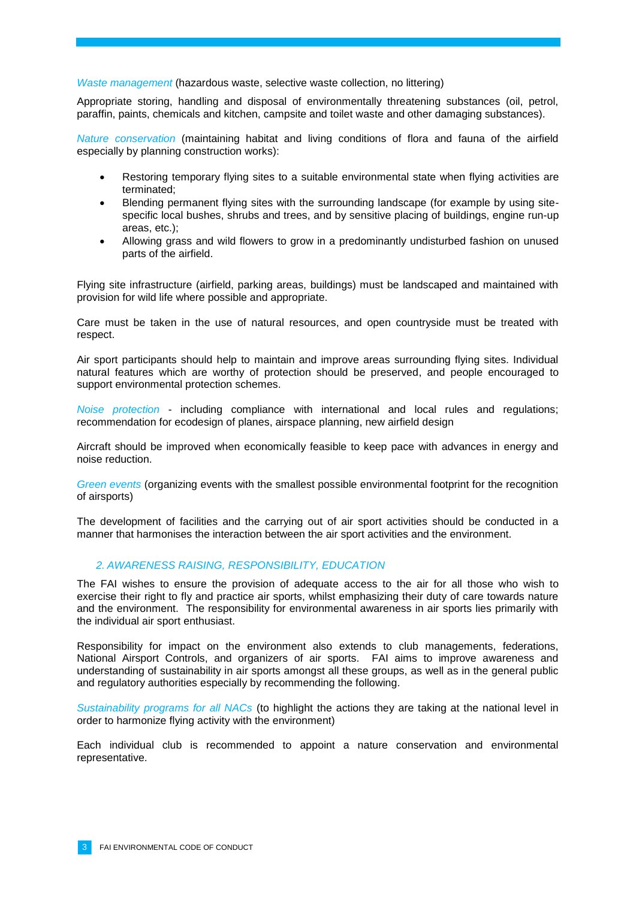#### *Waste management* (hazardous waste, selective waste collection, no littering)

Appropriate storing, handling and disposal of environmentally threatening substances (oil, petrol, paraffin, paints, chemicals and kitchen, campsite and toilet waste and other damaging substances).

*Nature conservation* (maintaining habitat and living conditions of flora and fauna of the airfield especially by planning construction works):

- Restoring temporary flying sites to a suitable environmental state when flying activities are terminated;
- Blending permanent flying sites with the surrounding landscape (for example by using sitespecific local bushes, shrubs and trees, and by sensitive placing of buildings, engine run-up areas, etc.);
- Allowing grass and wild flowers to grow in a predominantly undisturbed fashion on unused parts of the airfield.

Flying site infrastructure (airfield, parking areas, buildings) must be landscaped and maintained with provision for wild life where possible and appropriate.

Care must be taken in the use of natural resources, and open countryside must be treated with respect.

Air sport participants should help to maintain and improve areas surrounding flying sites. Individual natural features which are worthy of protection should be preserved, and people encouraged to support environmental protection schemes.

*Noise protection* - including compliance with international and local rules and regulations; recommendation for ecodesign of planes, airspace planning, new airfield design

Aircraft should be improved when economically feasible to keep pace with advances in energy and noise reduction.

*Green events* (organizing events with the smallest possible environmental footprint for the recognition of airsports)

The development of facilities and the carrying out of air sport activities should be conducted in a manner that harmonises the interaction between the air sport activities and the environment.

#### *2. AWARENESS RAISING, RESPONSIBILITY, EDUCATION*

The FAI wishes to ensure the provision of adequate access to the air for all those who wish to exercise their right to fly and practice air sports, whilst emphasizing their duty of care towards nature and the environment. The responsibility for environmental awareness in air sports lies primarily with the individual air sport enthusiast.

Responsibility for impact on the environment also extends to club managements, federations, National Airsport Controls, and organizers of air sports. FAI aims to improve awareness and understanding of sustainability in air sports amongst all these groups, as well as in the general public and regulatory authorities especially by recommending the following.

*Sustainability programs for all NACs* (to highlight the actions they are taking at the national level in order to harmonize flying activity with the environment)

Each individual club is recommended to appoint a nature conservation and environmental representative.